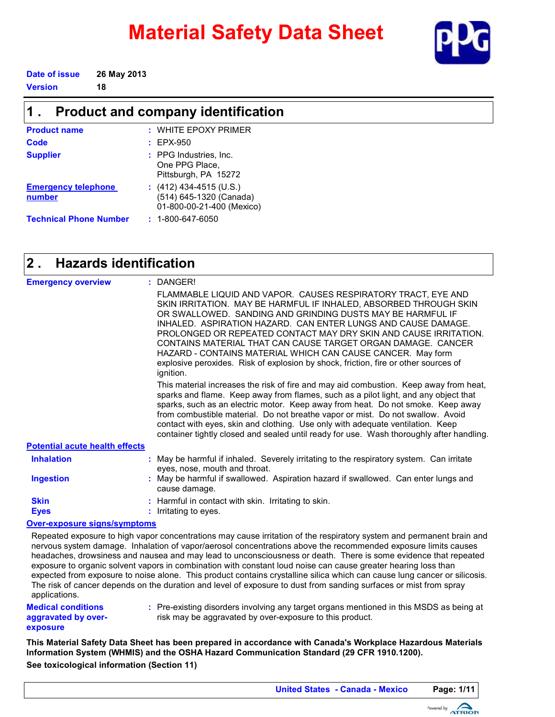# **Material Safety Data Sheet**



**Date of issue 26 May 2013 Version 18**

| <b>Product and company identification</b> |                                                                                   |  |  |
|-------------------------------------------|-----------------------------------------------------------------------------------|--|--|
| <b>Product name</b>                       | $:$ WHITE EPOXY PRIMER                                                            |  |  |
| Code                                      | $:$ EPX-950                                                                       |  |  |
| <b>Supplier</b>                           | : PPG Industries, Inc.<br>One PPG Place.<br>Pittsburgh, PA 15272                  |  |  |
| <b>Emergency telephone</b><br>number      | : $(412)$ 434-4515 (U.S.)<br>(514) 645-1320 (Canada)<br>01-800-00-21-400 (Mexico) |  |  |

**Technical Phone Number :** 1-800-647-6050

#### **Hazards identification 2 .**

| <b>Emergency overview</b>             | : DANGER!                                                                                                                                                                                                                                                                                                                                                                                                                                                                                                                                                                                                                                                                                                                                                                                                                                                                                                                                                                                                       |
|---------------------------------------|-----------------------------------------------------------------------------------------------------------------------------------------------------------------------------------------------------------------------------------------------------------------------------------------------------------------------------------------------------------------------------------------------------------------------------------------------------------------------------------------------------------------------------------------------------------------------------------------------------------------------------------------------------------------------------------------------------------------------------------------------------------------------------------------------------------------------------------------------------------------------------------------------------------------------------------------------------------------------------------------------------------------|
|                                       | FLAMMABLE LIQUID AND VAPOR. CAUSES RESPIRATORY TRACT, EYE AND<br>SKIN IRRITATION. MAY BE HARMFUL IF INHALED, ABSORBED THROUGH SKIN<br>OR SWALLOWED. SANDING AND GRINDING DUSTS MAY BE HARMFUL IF<br>INHALED. ASPIRATION HAZARD. CAN ENTER LUNGS AND CAUSE DAMAGE.<br>PROLONGED OR REPEATED CONTACT MAY DRY SKIN AND CAUSE IRRITATION.<br>CONTAINS MATERIAL THAT CAN CAUSE TARGET ORGAN DAMAGE. CANCER<br>HAZARD - CONTAINS MATERIAL WHICH CAN CAUSE CANCER. May form<br>explosive peroxides. Risk of explosion by shock, friction, fire or other sources of<br>ignition.<br>This material increases the risk of fire and may aid combustion. Keep away from heat,<br>sparks and flame. Keep away from flames, such as a pilot light, and any object that<br>sparks, such as an electric motor. Keep away from heat. Do not smoke. Keep away<br>from combustible material. Do not breathe vapor or mist. Do not swallow. Avoid<br>contact with eyes, skin and clothing. Use only with adequate ventilation. Keep |
|                                       | container tightly closed and sealed until ready for use. Wash thoroughly after handling.                                                                                                                                                                                                                                                                                                                                                                                                                                                                                                                                                                                                                                                                                                                                                                                                                                                                                                                        |
| <b>Potential acute health effects</b> |                                                                                                                                                                                                                                                                                                                                                                                                                                                                                                                                                                                                                                                                                                                                                                                                                                                                                                                                                                                                                 |
| <b>Inhalation</b>                     | : May be harmful if inhaled. Severely irritating to the respiratory system. Can irritate<br>eyes, nose, mouth and throat.                                                                                                                                                                                                                                                                                                                                                                                                                                                                                                                                                                                                                                                                                                                                                                                                                                                                                       |
| <b>Ingestion</b>                      | : May be harmful if swallowed. Aspiration hazard if swallowed. Can enter lungs and<br>cause damage.                                                                                                                                                                                                                                                                                                                                                                                                                                                                                                                                                                                                                                                                                                                                                                                                                                                                                                             |
| <b>Skin</b>                           | : Harmful in contact with skin. Irritating to skin.                                                                                                                                                                                                                                                                                                                                                                                                                                                                                                                                                                                                                                                                                                                                                                                                                                                                                                                                                             |
| <b>Eyes</b>                           | : Irritating to eyes.                                                                                                                                                                                                                                                                                                                                                                                                                                                                                                                                                                                                                                                                                                                                                                                                                                                                                                                                                                                           |

#### **Over-exposure signs/symptoms**

Repeated exposure to high vapor concentrations may cause irritation of the respiratory system and permanent brain and nervous system damage. Inhalation of vapor/aerosol concentrations above the recommended exposure limits causes headaches, drowsiness and nausea and may lead to unconsciousness or death. There is some evidence that repeated exposure to organic solvent vapors in combination with constant loud noise can cause greater hearing loss than expected from exposure to noise alone. This product contains crystalline silica which can cause lung cancer or silicosis. The risk of cancer depends on the duration and level of exposure to dust from sanding surfaces or mist from spray applications.

**Medical conditions aggravated by overexposure**

Pre-existing disorders involving any target organs mentioned in this MSDS as being at **:** risk may be aggravated by over-exposure to this product.

**See toxicological information (Section 11) This Material Safety Data Sheet has been prepared in accordance with Canada's Workplace Hazardous Materials Information System (WHMIS) and the OSHA Hazard Communication Standard (29 CFR 1910.1200).**

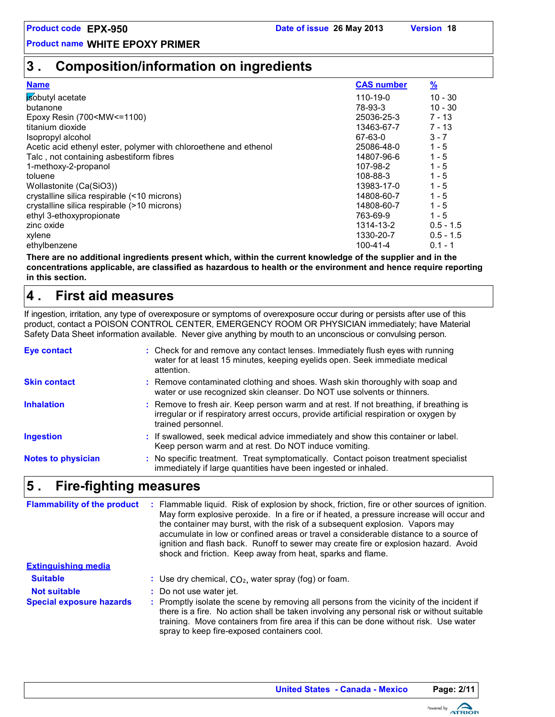# **3 . Composition/information on ingredients**

| <b>Name</b>                                                                                     | <b>CAS number</b> | $\frac{9}{2}$ |
|-------------------------------------------------------------------------------------------------|-------------------|---------------|
| isobutyl acetate                                                                                | 110-19-0          | $10 - 30$     |
| butanone                                                                                        | 78-93-3           | $10 - 30$     |
| Epoxy Resin (700 <mw<=1100)< td=""><td>25036-25-3</td><td><math>7 - 13</math></td></mw<=1100)<> | 25036-25-3        | $7 - 13$      |
| titanium dioxide                                                                                | 13463-67-7        | $7 - 13$      |
| Isopropyl alcohol                                                                               | 67-63-0           | $3 - 7$       |
| Acetic acid ethenyl ester, polymer with chloroethene and ethenol                                | 25086-48-0        | $1 - 5$       |
| Talc, not containing asbestiform fibres                                                         | 14807-96-6        | $1 - 5$       |
| 1-methoxy-2-propanol                                                                            | 107-98-2          | $1 - 5$       |
| toluene                                                                                         | 108-88-3          | $1 - 5$       |
| Wollastonite (Ca(SiO3))                                                                         | 13983-17-0        | $1 - 5$       |
| crystalline silica respirable (<10 microns)                                                     | 14808-60-7        | $1 - 5$       |
| crystalline silica respirable (>10 microns)                                                     | 14808-60-7        | $1 - 5$       |
| ethyl 3-ethoxypropionate                                                                        | 763-69-9          | $1 - 5$       |
| zinc oxide                                                                                      | 1314-13-2         | $0.5 - 1.5$   |
| xylene                                                                                          | 1330-20-7         | $0.5 - 1.5$   |
| ethylbenzene                                                                                    | $100 - 41 - 4$    | $0.1 - 1$     |

**There are no additional ingredients present which, within the current knowledge of the supplier and in the concentrations applicable, are classified as hazardous to health or the environment and hence require reporting in this section.**

#### **First aid measures 4 .**

If ingestion, irritation, any type of overexposure or symptoms of overexposure occur during or persists after use of this product, contact a POISON CONTROL CENTER, EMERGENCY ROOM OR PHYSICIAN immediately; have Material Safety Data Sheet information available. Never give anything by mouth to an unconscious or convulsing person.

| : Check for and remove any contact lenses. Immediately flush eyes with running<br>water for at least 15 minutes, keeping eyelids open. Seek immediate medical<br>attention.                            |
|--------------------------------------------------------------------------------------------------------------------------------------------------------------------------------------------------------|
| : Remove contaminated clothing and shoes. Wash skin thoroughly with soap and<br>water or use recognized skin cleanser. Do NOT use solvents or thinners.                                                |
| : Remove to fresh air. Keep person warm and at rest. If not breathing, if breathing is<br>irregular or if respiratory arrest occurs, provide artificial respiration or oxygen by<br>trained personnel. |
| : If swallowed, seek medical advice immediately and show this container or label.<br>Keep person warm and at rest. Do NOT induce vomiting.                                                             |
| : No specific treatment. Treat symptomatically. Contact poison treatment specialist<br>immediately if large quantities have been ingested or inhaled.                                                  |
|                                                                                                                                                                                                        |

#### **Fire-fighting measures 5 .**

: Use dry chemical,  $CO<sub>2</sub>$ , water spray (fog) or foam. **Extinguishing media** Promptly isolate the scene by removing all persons from the vicinity of the incident if there is a fire. No action shall be taken involving any personal risk or without suitable training. Move containers from fire area if this can be done without risk. Use water spray to keep fire-exposed containers cool. Flammable liquid. Risk of explosion by shock, friction, fire or other sources of ignition. May form explosive peroxide. In a fire or if heated, a pressure increase will occur and the container may burst, with the risk of a subsequent explosion. Vapors may accumulate in low or confined areas or travel a considerable distance to a source of ignition and flash back. Runoff to sewer may create fire or explosion hazard. Avoid shock and friction. Keep away from heat, sparks and flame. **Special exposure hazards :** : Do not use water jet. **Suitable : Not suitable : Flammability of the product :**

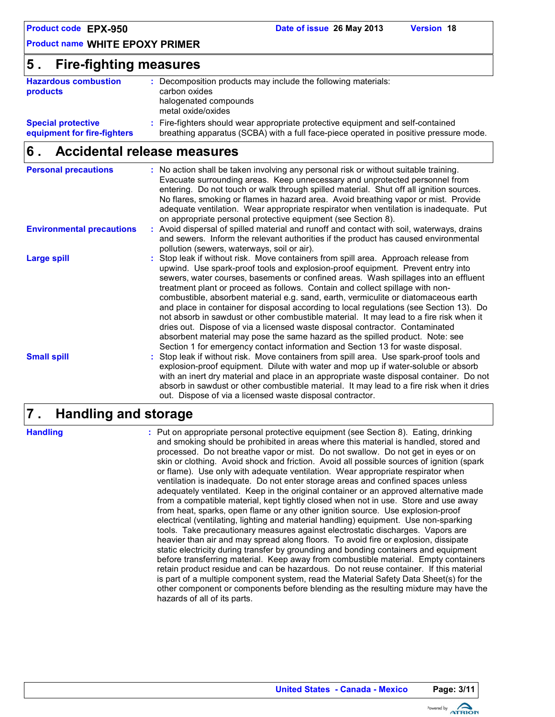| <b>Product code EPX-950</b> |  |
|-----------------------------|--|
|-----------------------------|--|

### **5 . Fire-fighting measures**

| <b>Hazardous combustion</b><br>products                  | : Decomposition products may include the following materials:<br>carbon oxides<br>halogenated compounds<br>metal oxide/oxides                                            |
|----------------------------------------------------------|--------------------------------------------------------------------------------------------------------------------------------------------------------------------------|
| <b>Special protective</b><br>equipment for fire-fighters | : Fire-fighters should wear appropriate protective equipment and self-contained<br>breathing apparatus (SCBA) with a full face-piece operated in positive pressure mode. |

#### **Accidental release measures 6 .**

| <b>Personal precautions</b>      | : No action shall be taken involving any personal risk or without suitable training.<br>Evacuate surrounding areas. Keep unnecessary and unprotected personnel from<br>entering. Do not touch or walk through spilled material. Shut off all ignition sources.<br>No flares, smoking or flames in hazard area. Avoid breathing vapor or mist. Provide<br>adequate ventilation. Wear appropriate respirator when ventilation is inadequate. Put<br>on appropriate personal protective equipment (see Section 8).                                                                                                                                                                                                                                                                                                                                                                |
|----------------------------------|--------------------------------------------------------------------------------------------------------------------------------------------------------------------------------------------------------------------------------------------------------------------------------------------------------------------------------------------------------------------------------------------------------------------------------------------------------------------------------------------------------------------------------------------------------------------------------------------------------------------------------------------------------------------------------------------------------------------------------------------------------------------------------------------------------------------------------------------------------------------------------|
| <b>Environmental precautions</b> | : Avoid dispersal of spilled material and runoff and contact with soil, waterways, drains<br>and sewers. Inform the relevant authorities if the product has caused environmental<br>pollution (sewers, waterways, soil or air).                                                                                                                                                                                                                                                                                                                                                                                                                                                                                                                                                                                                                                                |
| <b>Large spill</b>               | : Stop leak if without risk. Move containers from spill area. Approach release from<br>upwind. Use spark-proof tools and explosion-proof equipment. Prevent entry into<br>sewers, water courses, basements or confined areas. Wash spillages into an effluent<br>treatment plant or proceed as follows. Contain and collect spillage with non-<br>combustible, absorbent material e.g. sand, earth, vermiculite or diatomaceous earth<br>and place in container for disposal according to local regulations (see Section 13). Do<br>not absorb in sawdust or other combustible material. It may lead to a fire risk when it<br>dries out. Dispose of via a licensed waste disposal contractor. Contaminated<br>absorbent material may pose the same hazard as the spilled product. Note: see<br>Section 1 for emergency contact information and Section 13 for waste disposal. |
| <b>Small spill</b>               | : Stop leak if without risk. Move containers from spill area. Use spark-proof tools and<br>explosion-proof equipment. Dilute with water and mop up if water-soluble or absorb<br>with an inert dry material and place in an appropriate waste disposal container. Do not<br>absorb in sawdust or other combustible material. It may lead to a fire risk when it dries<br>out. Dispose of via a licensed waste disposal contractor.                                                                                                                                                                                                                                                                                                                                                                                                                                             |

#### **Handling and storage 7 .**

**Handling :**

Put on appropriate personal protective equipment (see Section 8). Eating, drinking and smoking should be prohibited in areas where this material is handled, stored and processed. Do not breathe vapor or mist. Do not swallow. Do not get in eyes or on skin or clothing. Avoid shock and friction. Avoid all possible sources of ignition (spark or flame). Use only with adequate ventilation. Wear appropriate respirator when ventilation is inadequate. Do not enter storage areas and confined spaces unless adequately ventilated. Keep in the original container or an approved alternative made from a compatible material, kept tightly closed when not in use. Store and use away from heat, sparks, open flame or any other ignition source. Use explosion-proof electrical (ventilating, lighting and material handling) equipment. Use non-sparking tools. Take precautionary measures against electrostatic discharges. Vapors are heavier than air and may spread along floors. To avoid fire or explosion, dissipate static electricity during transfer by grounding and bonding containers and equipment before transferring material. Keep away from combustible material. Empty containers retain product residue and can be hazardous. Do not reuse container. If this material is part of a multiple component system, read the Material Safety Data Sheet(s) for the other component or components before blending as the resulting mixture may have the hazards of all of its parts.

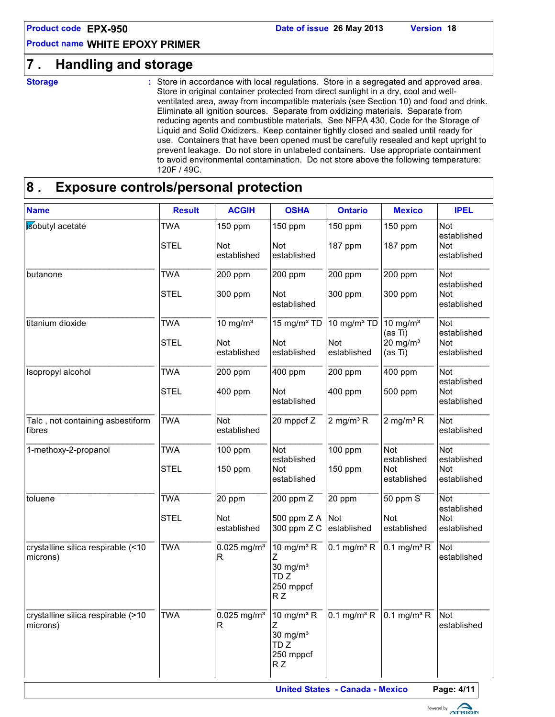# **7 . Handling and storage**

**Storage :**

Store in accordance with local regulations. Store in a segregated and approved area. Store in original container protected from direct sunlight in a dry, cool and wellventilated area, away from incompatible materials (see Section 10) and food and drink. Eliminate all ignition sources. Separate from oxidizing materials. Separate from reducing agents and combustible materials. See NFPA 430, Code for the Storage of Liquid and Solid Oxidizers. Keep container tightly closed and sealed until ready for use. Containers that have been opened must be carefully resealed and kept upright to prevent leakage. Do not store in unlabeled containers. Use appropriate containment to avoid environmental contamination. Do not store above the following temperature: 120F / 49C.

# **8 . Exposure controls/personal protection**

| <b>Name</b>                                    | <b>Result</b>             | <b>ACGIH</b>                         | <b>OSHA</b>                                                                                    | <b>Ontario</b>                                                    | <b>Mexico</b>                                               | <b>IPEL</b>                                            |
|------------------------------------------------|---------------------------|--------------------------------------|------------------------------------------------------------------------------------------------|-------------------------------------------------------------------|-------------------------------------------------------------|--------------------------------------------------------|
| isobutyl acetate                               | <b>TWA</b><br><b>STEL</b> | 150 ppm<br><b>Not</b><br>established | 150 ppm<br>Not<br>established                                                                  | 150 ppm<br>187 ppm                                                | 150 ppm<br>187 ppm                                          | Not<br>established<br><b>Not</b><br>established        |
| butanone                                       | <b>TWA</b><br><b>STEL</b> | 200 ppm<br>300 ppm                   | 200 ppm<br>Not<br>established                                                                  | 200 ppm<br>300 ppm                                                | 200 ppm<br>300 ppm                                          | Not<br>established<br>Not<br>established               |
| titanium dioxide                               | <b>TWA</b><br><b>STEL</b> | 10 mg/ $m3$<br>Not<br>established    | $15 \text{ mg/m}^3$ TD<br><b>Not</b><br>established                                            | 10 mg/m <sup>3</sup> TD<br>Not<br>established                     | 10 mg/ $m3$<br>(as Ti)<br>$20$ mg/m <sup>3</sup><br>(as Ti) | <b>Not</b><br>established<br><b>Not</b><br>established |
| Isopropyl alcohol                              | <b>TWA</b><br><b>STEL</b> | 200 ppm<br>400 ppm                   | 400 ppm<br>Not<br>established                                                                  | 200 ppm<br>400 ppm                                                | 400 ppm<br>500 ppm                                          | Not<br>established<br>Not<br>established               |
| Talc, not containing asbestiform<br>fibres     | <b>TWA</b>                | <b>Not</b><br>established            | 20 mppcf Z                                                                                     | 2 mg/m <sup>3</sup> $R$                                           | 2 mg/m <sup>3</sup> $R$                                     | <b>Not</b><br>established                              |
| 1-methoxy-2-propanol                           | <b>TWA</b><br><b>STEL</b> | 100 ppm<br>150 ppm                   | Not<br>established<br>Not<br>established                                                       | 100 ppm<br>150 ppm                                                | Not<br>established<br>Not<br>established                    | Not<br>established<br>Not<br>established               |
| toluene                                        | <b>TWA</b><br><b>STEL</b> | 20 ppm<br>Not<br>established         | 200 ppm Z<br>500 ppm Z A<br>300 ppm Z C                                                        | 20 ppm<br>Not<br>established                                      | 50 ppm S<br>Not<br>established                              | Not<br>established<br>Not<br>established               |
| crystalline silica respirable (<10<br>microns) | <b>TWA</b>                | $0.025$ mg/m <sup>3</sup><br>R       | 10 mg/m $3$ R<br>30 mg/ $m3$<br>TD <sub>Z</sub><br>250 mppcf<br>RZ                             | $0.1$ mg/m <sup>3</sup> R                                         | $0.1$ mg/m <sup>3</sup> R                                   | <b>Not</b><br>established                              |
| crystalline silica respirable (>10<br>microns) | <b>TWA</b>                | $0.025$ mg/m <sup>3</sup><br>R       | $10 \text{ mg/m}^3 \text{ R}$<br>$30$ mg/m <sup>3</sup><br>TD <sub>Z</sub><br>250 mppcf<br>R Z | $\overline{0.1 \text{ mg/m}^3 \text{ R}}$ 0.1 mg/m <sup>3</sup> R |                                                             | <b>Not</b><br>established                              |

**United States - Canada - Mexico Page: 4/11** 

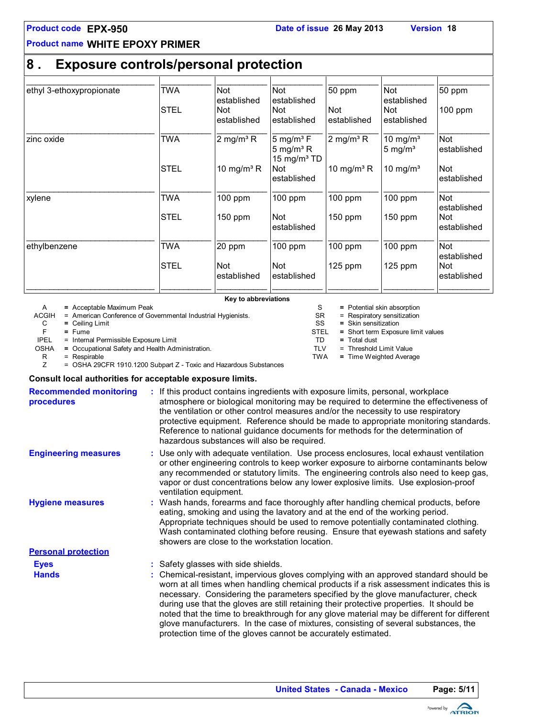# **8 . Exposure controls/personal protection**

| ethyl 3-ethoxypropionate | TWA         | Not                               | Not                                                                      | 50 ppm                    | Not                                      | $50$ ppm                  |
|--------------------------|-------------|-----------------------------------|--------------------------------------------------------------------------|---------------------------|------------------------------------------|---------------------------|
|                          | <b>STEL</b> | established<br>Not<br>established | established<br>Not<br>established                                        | <b>Not</b><br>established | established<br><b>Not</b><br>established | 100 ppm                   |
| zinc oxide               | TWA         | 2 mg/m <sup>3</sup> R             | $5 \text{ mg/m}^3$ F<br>5 mg/m <sup>3</sup> R<br>15 mg/m <sup>3</sup> TD | 2 mg/m <sup>3</sup> $R$   | 10 mg/ $m3$<br>5 mg/ $m3$                | <b>Not</b><br>established |
|                          | <b>STEL</b> | 10 mg/m <sup>3</sup> R            | <b>Not</b><br>established                                                | 10 mg/m <sup>3</sup> R    | 10 mg/ $m3$                              | <b>Not</b><br>established |
| xylene                   | TWA         | $100$ ppm                         | $100$ ppm                                                                | 100 ppm                   | 100 ppm                                  | <b>Not</b><br>established |
|                          | <b>STEL</b> | 150 ppm                           | <b>Not</b><br>established                                                | 150 ppm                   | 150 ppm                                  | <b>Not</b><br>established |
| ethylbenzene             | TWA         | 20 ppm                            | $100$ ppm                                                                | $100$ ppm                 | $100$ ppm                                | <b>Not</b><br>established |
|                          | <b>STEL</b> | <b>Not</b><br>established         | <b>Not</b><br>established                                                | $125$ ppm                 | $125$ ppm                                | <b>Not</b><br>established |

**Key to abbreviations**

A **=** Acceptable Maximum Peak

ACGIH = American Conference of Governmental Industrial Hygienists.<br>
C = Ceiling Limit<br>
F = Fume

C **=** Ceiling Limit

F **=** Fume

= Internal Permissible Exposure Limit

OSHA = Occupational Safety and Health Administration.<br>R = Respirable<br>Z = OSHA 29CFR 1910.1200 Subpart Z - Toxic and

= Respirable

= OSHA 29CFR 1910.1200 Subpart Z - Toxic and Hazardous Substances

#### **Consult local authorities for acceptable exposure limits.**

| <b>Recommended monitoring</b><br><b>procedures</b> | : If this product contains ingredients with exposure limits, personal, workplace<br>atmosphere or biological monitoring may be required to determine the effectiveness of<br>the ventilation or other control measures and/or the necessity to use respiratory<br>protective equipment. Reference should be made to appropriate monitoring standards.<br>Reference to national guidance documents for methods for the determination of<br>hazardous substances will also be required.                                                                                                                                                                         |
|----------------------------------------------------|---------------------------------------------------------------------------------------------------------------------------------------------------------------------------------------------------------------------------------------------------------------------------------------------------------------------------------------------------------------------------------------------------------------------------------------------------------------------------------------------------------------------------------------------------------------------------------------------------------------------------------------------------------------|
| <b>Engineering measures</b>                        | : Use only with adequate ventilation. Use process enclosures, local exhaust ventilation<br>or other engineering controls to keep worker exposure to airborne contaminants below<br>any recommended or statutory limits. The engineering controls also need to keep gas,<br>vapor or dust concentrations below any lower explosive limits. Use explosion-proof<br>ventilation equipment.                                                                                                                                                                                                                                                                       |
| <b>Hygiene measures</b>                            | : Wash hands, forearms and face thoroughly after handling chemical products, before<br>eating, smoking and using the lavatory and at the end of the working period.<br>Appropriate techniques should be used to remove potentially contaminated clothing.<br>Wash contaminated clothing before reusing. Ensure that eyewash stations and safety<br>showers are close to the workstation location.                                                                                                                                                                                                                                                             |
| <b>Personal protection</b>                         |                                                                                                                                                                                                                                                                                                                                                                                                                                                                                                                                                                                                                                                               |
| <b>Eyes</b><br><b>Hands</b>                        | : Safety glasses with side shields.<br>: Chemical-resistant, impervious gloves complying with an approved standard should be<br>worn at all times when handling chemical products if a risk assessment indicates this is<br>necessary. Considering the parameters specified by the glove manufacturer, check<br>during use that the gloves are still retaining their protective properties. It should be<br>noted that the time to breakthrough for any glove material may be different for different<br>glove manufacturers. In the case of mixtures, consisting of several substances, the<br>protection time of the gloves cannot be accurately estimated. |



- SR = Respiratory sensitization<br>SS = Skin sensitization **=** Skin sensitization
- STEL **=** = Short term Exposure limit values

S = Potential skin absorption

- TD **=** Total dust
- TLV = Threshold Limit Value
- TWA **=** Time Weighted Average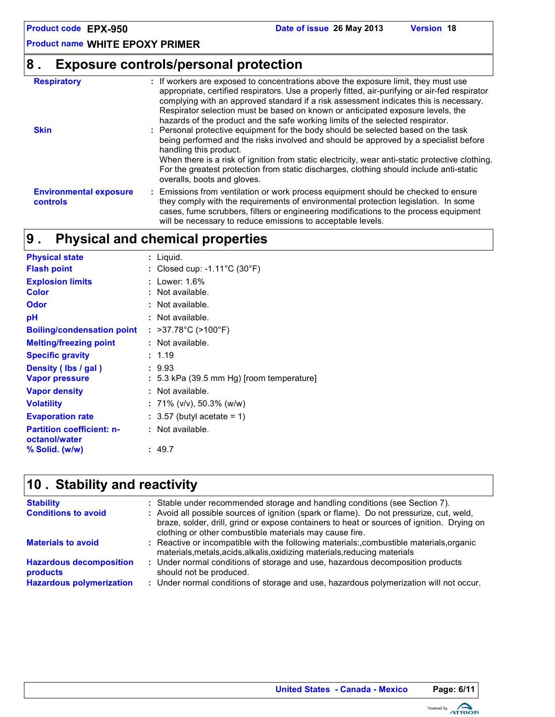# **8 . Exposure controls/personal protection**

| <b>Respiratory</b>                        | : If workers are exposed to concentrations above the exposure limit, they must use<br>appropriate, certified respirators. Use a properly fitted, air-purifying or air-fed respirator<br>complying with an approved standard if a risk assessment indicates this is necessary.                                                   |
|-------------------------------------------|---------------------------------------------------------------------------------------------------------------------------------------------------------------------------------------------------------------------------------------------------------------------------------------------------------------------------------|
| <b>Skin</b>                               | Respirator selection must be based on known or anticipated exposure levels, the<br>hazards of the product and the safe working limits of the selected respirator.<br>: Personal protective equipment for the body should be selected based on the task                                                                          |
|                                           | being performed and the risks involved and should be approved by a specialist before<br>handling this product.                                                                                                                                                                                                                  |
|                                           | When there is a risk of ignition from static electricity, wear anti-static protective clothing.<br>For the greatest protection from static discharges, clothing should include anti-static<br>overalls, boots and gloves.                                                                                                       |
| <b>Environmental exposure</b><br>controls | : Emissions from ventilation or work process equipment should be checked to ensure<br>they comply with the requirements of environmental protection legislation. In some<br>cases, fume scrubbers, filters or engineering modifications to the process equipment<br>will be necessary to reduce emissions to acceptable levels. |

#### **Physical and chemical properties 9 .**

| <b>Physical state</b>                             | : Liquid.                                          |
|---------------------------------------------------|----------------------------------------------------|
| <b>Flash point</b>                                | : Closed cup: -1.11 $^{\circ}$ C (30 $^{\circ}$ F) |
| <b>Explosion limits</b>                           | : Lower: $1.6\%$                                   |
| Color                                             | : Not available.                                   |
| Odor                                              | : Not available.                                   |
| рH                                                | : Not available.                                   |
| <b>Boiling/condensation point</b>                 | : >37.78°C (>100°F)                                |
| <b>Melting/freezing point</b>                     | : Not available.                                   |
| <b>Specific gravity</b>                           | : 1.19                                             |
| Density (Ibs / gal)                               | : 9.93                                             |
| <b>Vapor pressure</b>                             | $: 5.3$ kPa (39.5 mm Hg) [room temperature]        |
| <b>Vapor density</b>                              | : Not available.                                   |
| <b>Volatility</b>                                 | : 71% (v/v), 50.3% (w/w)                           |
| <b>Evaporation rate</b>                           | $: 3.57$ (butyl acetate = 1)                       |
| <b>Partition coefficient: n-</b><br>octanol/water | : Not available.                                   |
| % Solid. (w/w)                                    | : 49.7                                             |

# **Stability and reactivity 10 .**

| <b>Stability</b><br><b>Conditions to avoid</b>                                | : Stable under recommended storage and handling conditions (see Section 7).<br>: Avoid all possible sources of ignition (spark or flame). Do not pressurize, cut, weld,<br>braze, solder, drill, grind or expose containers to heat or sources of ignition. Drying on<br>clothing or other combustible materials may cause fire. |
|-------------------------------------------------------------------------------|----------------------------------------------------------------------------------------------------------------------------------------------------------------------------------------------------------------------------------------------------------------------------------------------------------------------------------|
| <b>Materials to avoid</b>                                                     | : Reactive or incompatible with the following materials:, combustible materials, organic<br>materials, metals, acids, alkalis, oxidizing materials, reducing materials                                                                                                                                                           |
| <b>Hazardous decomposition</b><br>products<br><b>Hazardous polymerization</b> | : Under normal conditions of storage and use, hazardous decomposition products<br>should not be produced.<br>: Under normal conditions of storage and use, hazardous polymerization will not occur.                                                                                                                              |

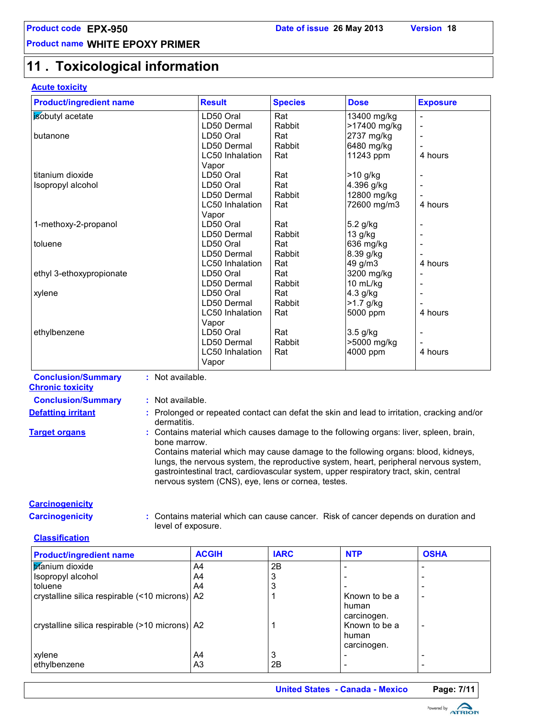# **11 . Toxicological information**

#### **Acute toxicity**

| <b>Product/ingredient name</b> | <b>Result</b>          | <b>Species</b> | <b>Dose</b>  | <b>Exposure</b>              |
|--------------------------------|------------------------|----------------|--------------|------------------------------|
| isobutyl acetate               | LD50 Oral              | Rat            | 13400 mg/kg  |                              |
|                                | LD50 Dermal            | Rabbit         | >17400 mg/kg | $\overline{\phantom{a}}$     |
| butanone                       | LD50 Oral              | Rat            | 2737 mg/kg   | $\overline{\phantom{a}}$     |
|                                | LD50 Dermal            | Rabbit         | 6480 mg/kg   |                              |
|                                | <b>LC50</b> Inhalation | Rat            | 11243 ppm    | 4 hours                      |
|                                | Vapor                  |                |              |                              |
| titanium dioxide               | LD50 Oral              | Rat            | >10 g/kg     |                              |
| Isopropyl alcohol              | LD50 Oral              | Rat            | 4.396 g/kg   | $\overline{\phantom{a}}$     |
|                                | LD50 Dermal            | Rabbit         | 12800 mg/kg  |                              |
|                                | LC50 Inhalation        | Rat            | 72600 mg/m3  | 4 hours                      |
|                                | Vapor                  |                |              |                              |
| 1-methoxy-2-propanol           | LD50 Oral              | Rat            | 5.2 g/kg     | $\overline{\phantom{a}}$     |
|                                | LD50 Dermal            | Rabbit         | 13 g/kg      |                              |
| toluene                        | LD50 Oral              | Rat            | 636 mg/kg    | $\overline{\phantom{a}}$     |
|                                | LD50 Dermal            | Rabbit         | 8.39 g/kg    |                              |
|                                | LC50 Inhalation        | Rat            | 49 g/m3      | 4 hours                      |
| ethyl 3-ethoxypropionate       | LD50 Oral              | Rat            | 3200 mg/kg   | $\qquad \qquad \blacksquare$ |
|                                | LD50 Dermal            | Rabbit         | 10 mL/kg     | $\overline{\phantom{a}}$     |
| xylene                         | LD50 Oral              | Rat            | 4.3 g/kg     |                              |
|                                | LD50 Dermal            | Rabbit         | $>1.7$ g/kg  |                              |
|                                | <b>LC50</b> Inhalation | Rat            | 5000 ppm     | 4 hours                      |
|                                | Vapor                  |                |              |                              |
| ethylbenzene                   | LD50 Oral              | Rat            | 3.5 g/kg     | $\overline{\phantom{a}}$     |
|                                | LD50 Dermal            | Rabbit         | >5000 mg/kg  |                              |
|                                | LC50 Inhalation        | Rat            | 4000 ppm     | 4 hours                      |
|                                | Vapor                  |                |              |                              |

**Conclusion/Summary :** Not available. **Chronic toxicity**

**Conclusion/Summary :** Not available.

- 
- **Defatting irritant** : Prolonged or repeated contact can defat the skin and lead to irritation, cracking and/or dermatitis.
- **Target organs :** Contains material which causes damage to the following organs: liver, spleen, brain, bone marrow.

Contains material which may cause damage to the following organs: blood, kidneys, lungs, the nervous system, the reproductive system, heart, peripheral nervous system, gastrointestinal tract, cardiovascular system, upper respiratory tract, skin, central nervous system (CNS), eye, lens or cornea, testes.

#### **Carcinogenicity**

**Carcinogenicity :** Contains material which can cause cancer. Risk of cancer depends on duration and level of exposure.

#### **Classification**

| <b>Product/ingredient name</b>                   | <b>ACGIH</b> | <b>IARC</b> | <b>NTP</b>                                     | <b>OSHA</b> |
|--------------------------------------------------|--------------|-------------|------------------------------------------------|-------------|
| titanium dioxide                                 | A4           | 2B          |                                                |             |
| Isopropyl alcohol                                | A4           |             |                                                |             |
| toluene                                          | A4           |             |                                                |             |
| crystalline silica respirable (<10 microns)   A2 |              |             | Known to be a                                  |             |
| crystalline silica respirable (>10 microns) A2   |              |             | human<br>carcinogen.<br>Known to be a<br>human | ۰           |
|                                                  |              |             | carcinogen.                                    |             |
| xylene                                           | A4           | 3           |                                                |             |
| ethylbenzene                                     | A3           | 2B          |                                                |             |

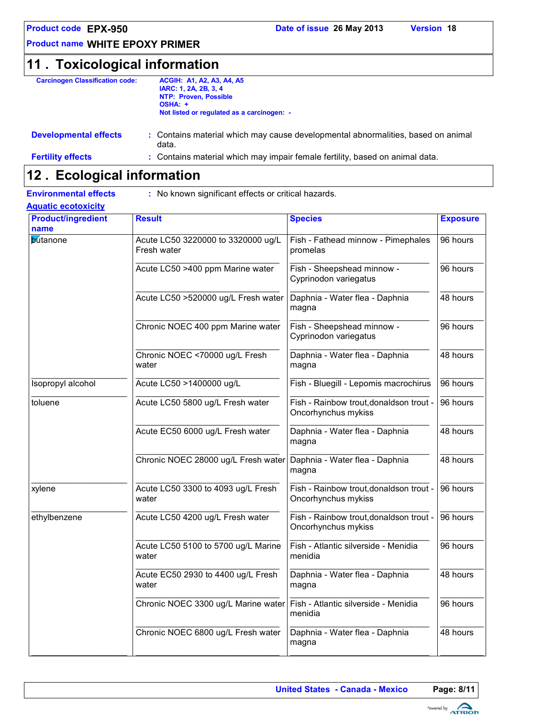# **11 . Toxicological information**

| <b>Carcinogen Classification code:</b> | <b>ACGIH: A1, A2, A3, A4, A5</b>                                                 |
|----------------------------------------|----------------------------------------------------------------------------------|
|                                        | IARC: 1, 2A, 2B, 3, 4                                                            |
|                                        | NTP: Proven, Possible                                                            |
|                                        | OSHA: +                                                                          |
|                                        | Not listed or regulated as a carcinogen: -                                       |
| <b>Developmental effects</b>           | : Contains material which may cause developmental abnormalities, based on animal |

|                          | data.                                                                        |
|--------------------------|------------------------------------------------------------------------------|
| <b>Fertility effects</b> | : Contains material which may impair female fertility, based on animal data. |

### **Ecological information 12 .**

**Aquatic ecotoxicity**

**Environmental effects :** No known significant effects or critical hazards.

| <b>Product/ingredient</b><br>name | <b>Result</b>                                     | <b>Species</b>                                                 | <b>Exposure</b> |
|-----------------------------------|---------------------------------------------------|----------------------------------------------------------------|-----------------|
| <b>butanone</b>                   | Acute LC50 3220000 to 3320000 ug/L<br>Fresh water | Fish - Fathead minnow - Pimephales<br>promelas                 | 96 hours        |
|                                   | Acute LC50 >400 ppm Marine water                  | Fish - Sheepshead minnow -<br>Cyprinodon variegatus            | 96 hours        |
|                                   | Acute LC50 >520000 ug/L Fresh water               | Daphnia - Water flea - Daphnia<br>magna                        | 48 hours        |
|                                   | Chronic NOEC 400 ppm Marine water                 | Fish - Sheepshead minnow -<br>Cyprinodon variegatus            | 96 hours        |
|                                   | Chronic NOEC <70000 ug/L Fresh<br>water           | Daphnia - Water flea - Daphnia<br>magna                        | 48 hours        |
| Isopropyl alcohol                 | Acute LC50 >1400000 ug/L                          | Fish - Bluegill - Lepomis macrochirus                          | 96 hours        |
| toluene                           | Acute LC50 5800 ug/L Fresh water                  | Fish - Rainbow trout, donaldson trout -<br>Oncorhynchus mykiss | 96 hours        |
|                                   | Acute EC50 6000 ug/L Fresh water                  | Daphnia - Water flea - Daphnia<br>magna                        | 48 hours        |
|                                   | Chronic NOEC 28000 ug/L Fresh water               | Daphnia - Water flea - Daphnia<br>magna                        | 48 hours        |
| xylene                            | Acute LC50 3300 to 4093 ug/L Fresh<br>water       | Fish - Rainbow trout, donaldson trout -<br>Oncorhynchus mykiss | 96 hours        |
| ethylbenzene                      | Acute LC50 4200 ug/L Fresh water                  | Fish - Rainbow trout, donaldson trout -<br>Oncorhynchus mykiss | 96 hours        |
|                                   | Acute LC50 5100 to 5700 ug/L Marine<br>water      | Fish - Atlantic silverside - Menidia<br>menidia                | 96 hours        |
|                                   | Acute EC50 2930 to 4400 ug/L Fresh<br>water       | Daphnia - Water flea - Daphnia<br>magna                        | 48 hours        |
|                                   | Chronic NOEC 3300 ug/L Marine water               | Fish - Atlantic silverside - Menidia<br>menidia                | 96 hours        |
|                                   | Chronic NOEC 6800 ug/L Fresh water                | Daphnia - Water flea - Daphnia<br>magna                        | 48 hours        |

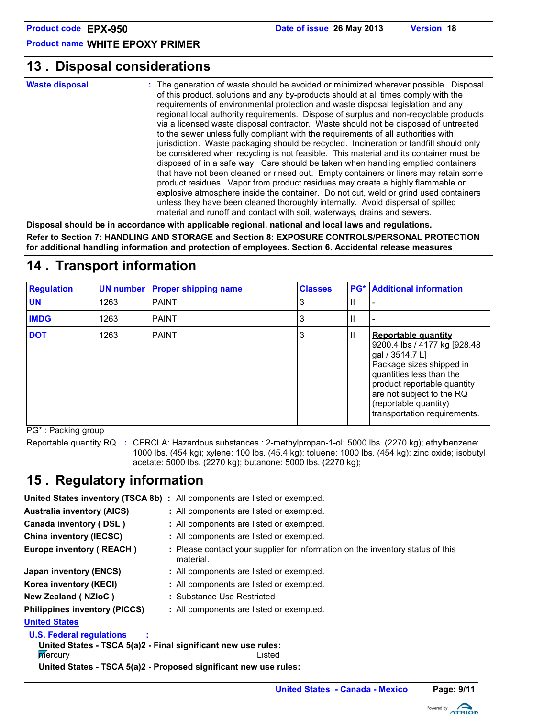### **Disposal considerations 13 .**

**Waste disposal**

The generation of waste should be avoided or minimized wherever possible. Disposal **:** of this product, solutions and any by-products should at all times comply with the requirements of environmental protection and waste disposal legislation and any regional local authority requirements. Dispose of surplus and non-recyclable products via a licensed waste disposal contractor. Waste should not be disposed of untreated to the sewer unless fully compliant with the requirements of all authorities with jurisdiction. Waste packaging should be recycled. Incineration or landfill should only be considered when recycling is not feasible. This material and its container must be disposed of in a safe way. Care should be taken when handling emptied containers that have not been cleaned or rinsed out. Empty containers or liners may retain some product residues. Vapor from product residues may create a highly flammable or explosive atmosphere inside the container. Do not cut, weld or grind used containers unless they have been cleaned thoroughly internally. Avoid dispersal of spilled material and runoff and contact with soil, waterways, drains and sewers.

**Disposal should be in accordance with applicable regional, national and local laws and regulations. Refer to Section 7: HANDLING AND STORAGE and Section 8: EXPOSURE CONTROLS/PERSONAL PROTECTION for additional handling information and protection of employees. Section 6. Accidental release measures**

# **14 . Transport information**

| <b>Regulation</b> |      | <b>UN number Proper shipping name</b> | <b>Classes</b> |   | <b>PG*</b> Additional information                                                                                                                                                                                                                           |
|-------------------|------|---------------------------------------|----------------|---|-------------------------------------------------------------------------------------------------------------------------------------------------------------------------------------------------------------------------------------------------------------|
| <b>UN</b>         | 1263 | <b>PAINT</b>                          | 3              | Ш |                                                                                                                                                                                                                                                             |
| <b>IMDG</b>       | 1263 | <b>PAINT</b>                          | 3              | Ш |                                                                                                                                                                                                                                                             |
| <b>DOT</b>        | 1263 | <b>PAINT</b>                          | 3              | Ш | <b>Reportable quantity</b><br>9200.4 lbs / 4177 kg [928.48]<br>gal / 3514.7 L]<br>Package sizes shipped in<br>quantities less than the<br>product reportable quantity<br>are not subject to the RQ<br>(reportable quantity)<br>transportation requirements. |

PG\* : Packing group

Reportable quantity RQ : CERCLA: Hazardous substances.: 2-methylpropan-1-ol: 5000 lbs. (2270 kg); ethylbenzene: 1000 lbs. (454 kg); xylene: 100 lbs. (45.4 kg); toluene: 1000 lbs. (454 kg); zinc oxide; isobutyl acetate: 5000 lbs. (2270 kg); butanone: 5000 lbs. (2270 kg);

# **15 . Regulatory information**

|                                                                                                  | <b>United States inventory (TSCA 8b)</b> : All components are listed or exempted.           |  |  |  |
|--------------------------------------------------------------------------------------------------|---------------------------------------------------------------------------------------------|--|--|--|
| <b>Australia inventory (AICS)</b>                                                                | : All components are listed or exempted.                                                    |  |  |  |
| Canada inventory (DSL)                                                                           | : All components are listed or exempted.                                                    |  |  |  |
| China inventory (IECSC)                                                                          | : All components are listed or exempted.                                                    |  |  |  |
| Europe inventory (REACH)                                                                         | : Please contact your supplier for information on the inventory status of this<br>material. |  |  |  |
| Japan inventory (ENCS)                                                                           | : All components are listed or exempted.                                                    |  |  |  |
| Korea inventory (KECI)                                                                           | : All components are listed or exempted.                                                    |  |  |  |
| New Zealand (NZIoC)                                                                              | : Substance Use Restricted                                                                  |  |  |  |
| <b>Philippines inventory (PICCS)</b>                                                             | : All components are listed or exempted.                                                    |  |  |  |
| <b>United States</b>                                                                             |                                                                                             |  |  |  |
| <b>U.S. Federal regulations</b><br>United States - TSCA 5(a)2 - Final significant new use rules: |                                                                                             |  |  |  |
| mercury                                                                                          | Listed                                                                                      |  |  |  |
|                                                                                                  | United States - TSCA 5(a)2 - Proposed significant new use rules:                            |  |  |  |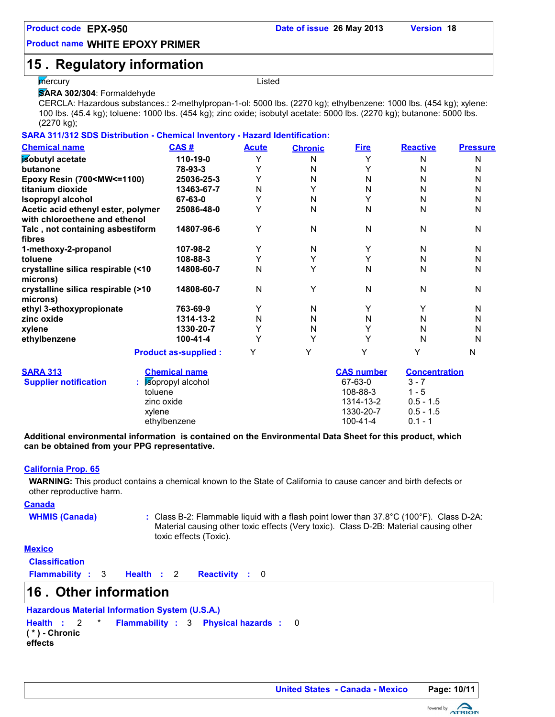# **15 . Regulatory information**

#### mercury **Example 2018 Listed**

**SARA 302/304**: Formaldehyde

CERCLA: Hazardous substances.: 2-methylpropan-1-ol: 5000 lbs. (2270 kg); ethylbenzene: 1000 lbs. (454 kg); xylene: 100 lbs. (45.4 kg); toluene: 1000 lbs. (454 kg); zinc oxide; isobutyl acetate: 5000 lbs. (2270 kg); butanone: 5000 lbs. (2270 kg);

|  | SARA 311/312 SDS Distribution - Chemical Inventory - Hazard Identification: |
|--|-----------------------------------------------------------------------------|
|  |                                                                             |

| <b>Chemical name</b>                                                                                                  | <b>CAS#</b>                 | <b>Acute</b> | <b>Chronic</b> | <b>Fire</b>       | <b>Reactive</b>      | <b>Pressure</b> |
|-----------------------------------------------------------------------------------------------------------------------|-----------------------------|--------------|----------------|-------------------|----------------------|-----------------|
| isobutyl acetate                                                                                                      | 110-19-0                    | Υ            | N              | Y                 | N                    | N               |
| butanone                                                                                                              | 78-93-3                     | Y            | N              | Y                 | N                    | N               |
| Epoxy Resin (700 <mw<=1100)< th=""><th>25036-25-3</th><th>Υ</th><th>N</th><th>N</th><th>N</th><th>N</th></mw<=1100)<> | 25036-25-3                  | Υ            | N              | N                 | N                    | N               |
| titanium dioxide                                                                                                      | 13463-67-7                  | N            | Y              | N                 | N                    | N               |
| <b>Isopropyl alcohol</b>                                                                                              | 67-63-0                     | Y            | N              | Y                 | N                    | N               |
| Acetic acid ethenyl ester, polymer                                                                                    | 25086-48-0                  | Y            | N              | N                 | N                    | N               |
| with chloroethene and ethenol                                                                                         |                             |              |                |                   |                      |                 |
| Talc, not containing asbestiform                                                                                      | 14807-96-6                  | Υ            | N              | N                 | N                    | N               |
| fibres                                                                                                                |                             |              |                |                   |                      |                 |
| 1-methoxy-2-propanol                                                                                                  | 107-98-2                    | Y            | N              | Y                 | N                    | N               |
| toluene                                                                                                               | 108-88-3                    | Y            | Y              | Y                 | N                    | N               |
| crystalline silica respirable (<10                                                                                    | 14808-60-7                  | N            | Y              | N                 | N                    | N               |
| microns)                                                                                                              |                             |              |                |                   |                      |                 |
| crystalline silica respirable (>10                                                                                    | 14808-60-7                  | N            | Y              | N                 | N                    | N               |
| microns)                                                                                                              |                             |              |                |                   |                      |                 |
| ethyl 3-ethoxypropionate                                                                                              | 763-69-9                    | Y            | N              | Y                 | Y                    | N               |
| zinc oxide                                                                                                            | 1314-13-2                   | N            | N              | N                 | N                    | N               |
| xylene                                                                                                                | 1330-20-7                   | Y            | N              | Y                 | N                    | N               |
| ethylbenzene                                                                                                          | 100-41-4                    | Υ            | Υ              | Y                 | N                    | N               |
|                                                                                                                       | <b>Product as-supplied:</b> | Υ            | Y              | Υ                 | Y                    | N               |
| <b>SARA 313</b>                                                                                                       | <b>Chemical name</b>        |              |                | <b>CAS number</b> | <b>Concentration</b> |                 |
| <b>Supplier notification</b>                                                                                          | sopropyl alcohol            |              |                | 67-63-0           | $3 - 7$              |                 |
|                                                                                                                       | toluene                     |              |                | 108-88-3          | $1 - 5$              |                 |
|                                                                                                                       | zinc oxide                  |              |                | 1314-13-2         | $0.5 - 1.5$          |                 |
|                                                                                                                       | xylene                      |              |                | 1330-20-7         | $0.5 - 1.5$          |                 |
|                                                                                                                       | ethylbenzene                |              |                | $100 - 41 - 4$    | $0.1 - 1$            |                 |

**Additional environmental information is contained on the Environmental Data Sheet for this product, which can be obtained from your PPG representative.**

#### **California Prop. 65**

**WARNING:** This product contains a chemical known to the State of California to cause cancer and birth defects or other reproductive harm.

**Canada**

WHMIS (Canada) : Class B-2: Flammable liquid with a flash point lower than 37.8°C (100°F). Class D-2A: Material causing other toxic effects (Very toxic). Class D-2B: Material causing other toxic effects (Toxic).

#### **Mexico**

**Classification**

**Flammability**: 3 **Health**: 2 **Reactivity**: 0

### **Other information 16 .**

**Hazardous Material Information System (U.S.A.) Health Flammability** 3 **Physical hazards :** 2 \* **: :** 0 **( \* ) - Chronic effects**

**United States - Canada - Mexico Page: 10/11**